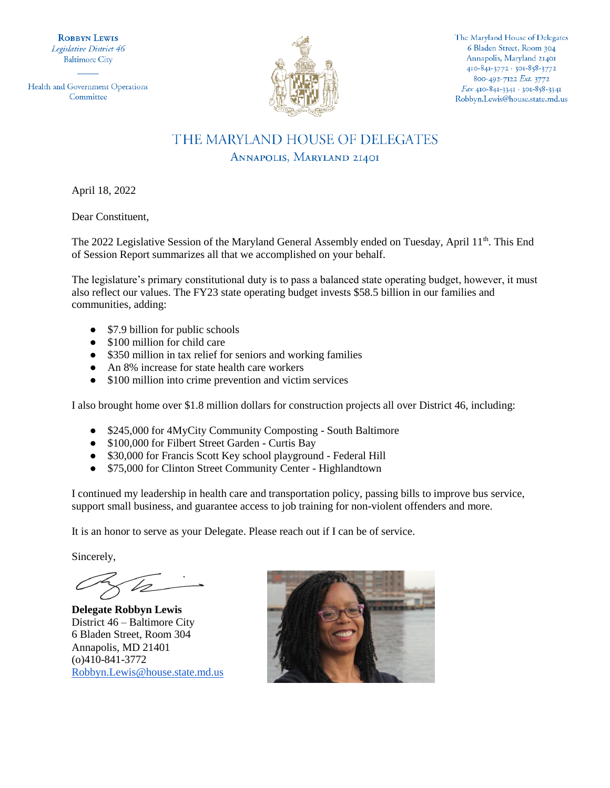**ROBBYN LEWIS** Legislative District 46 **Baltimore City** 

Health and Government Operations Committee



The Maryland House of Delegates 6 Bladen Street, Room 304 Annapolis, Maryland 21401 410-841-3772 - 301-858-3772 800-492-7122 Ext. 3772 Fax 410-841-3341 · 301-858-3341 Robbyn.Lewis@house.state.md.us

# THE MARYLAND HOUSE OF DELEGATES ANNAPOLIS, MARYLAND 21401

April 18, 2022

Dear Constituent,

The 2022 Legislative Session of the Maryland General Assembly ended on Tuesday, April 11<sup>th</sup>. This End of Session Report summarizes all that we accomplished on your behalf.

The legislature's primary constitutional duty is to pass a balanced state operating budget, however, it must also reflect our values. The FY23 state operating budget invests \$58.5 billion in our families and communities, adding:

- \$7.9 billion for public schools
- \$100 million for child care
- \$350 million in tax relief for seniors and working families
- An 8% increase for state health care workers
- \$100 million into crime prevention and victim services

I also brought home over \$1.8 million dollars for construction projects all over District 46, including:

- \$245,000 for 4MyCity Community Composting South Baltimore
- \$100,000 for Filbert Street Garden Curtis Bay
- \$30,000 for Francis Scott Key school playground Federal Hill
- \$75,000 for Clinton Street Community Center Highlandtown

I continued my leadership in health care and transportation policy, passing bills to improve bus service, support small business, and guarantee access to job training for non-violent offenders and more.

It is an honor to serve as your Delegate. Please reach out if I can be of service.

Sincerely,

**Delegate Robbyn Lewis** District 46 – Baltimore City 6 Bladen Street, Room 304 Annapolis, MD 21401 (o)410-841-3772 [Robbyn.Lewis@house.state.md.us](mailto:Robbyn.Lewis@house.state.md.us) 

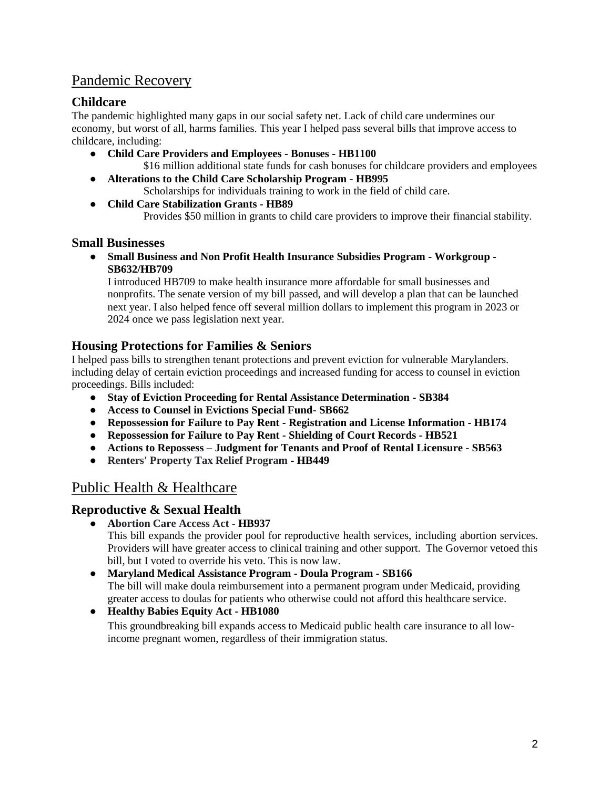# Pandemic Recovery

### **Childcare**

The pandemic highlighted many gaps in our social safety net. Lack of child care undermines our economy, but worst of all, harms families. This year I helped pass several bills that improve access to childcare, including:

- **Child Care Providers and Employees - Bonuses - HB1100**  \$16 million additional state funds for cash bonuses for childcare providers and employees
- **Alterations to the Child Care Scholarship Program - HB995** Scholarships for individuals training to work in the field of child care.
- **Child Care Stabilization Grants - HB89**

Provides \$50 million in grants to child care providers to improve their financial stability.

### **Small Businesses**

● **Small Business and Non Profit Health Insurance Subsidies Program - Workgroup - SB632/HB709** 

I introduced HB709 to make health insurance more affordable for small businesses and nonprofits. The senate version of my bill passed, and will develop a plan that can be launched next year. I also helped fence off several million dollars to implement this program in 2023 or 2024 once we pass legislation next year.

### **Housing Protections for Families & Seniors**

I helped pass bills to strengthen tenant protections and prevent eviction for vulnerable Marylanders. including delay of certain eviction proceedings and increased funding for access to counsel in eviction proceedings. Bills included:

- **Stay of Eviction Proceeding for Rental Assistance Determination - SB384**
- **Access to Counsel in Evictions Special Fund- SB662**
- **Repossession for Failure to Pay Rent - Registration and License Information - HB174**
- **Repossession for Failure to Pay Rent - Shielding of Court Records - HB521**
- **Actions to Repossess – Judgment for Tenants and Proof of Rental Licensure - SB563**
- **Renters' Property Tax Relief Program - HB449**

# Public Health & Healthcare

### **Reproductive & Sexual Health**

● **Abortion Care Access Act - HB937**

This bill expands the provider pool for reproductive health services, including abortion services. Providers will have greater access to clinical training and other support. The Governor vetoed this bill, but I voted to override his veto. This is now law.

- **Maryland Medical Assistance Program - Doula Program - SB166** The bill will make doula reimbursement into a permanent program under Medicaid, providing greater access to doulas for patients who otherwise could not afford this healthcare service.
- **Healthy Babies Equity Act - HB1080** This groundbreaking bill expands access to Medicaid public health care insurance to all lowincome pregnant women, regardless of their immigration status.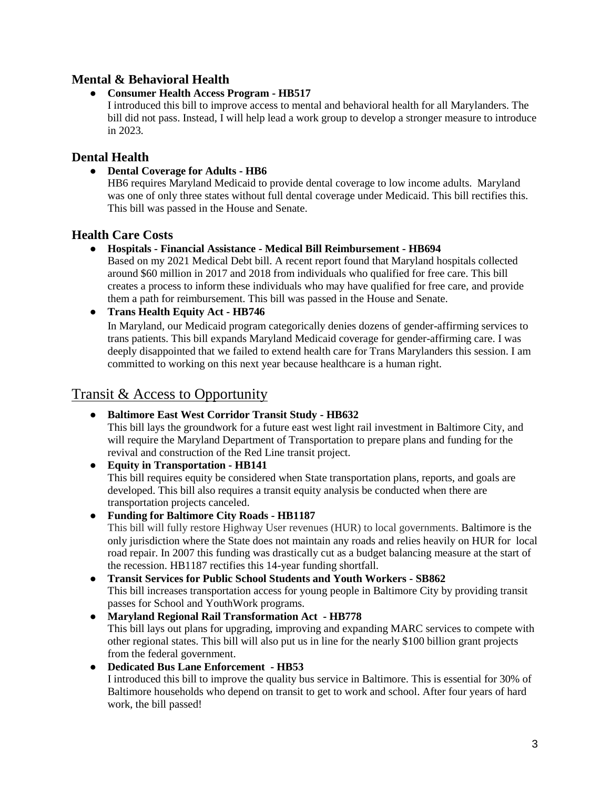### **Mental & Behavioral Health**

#### ● **Consumer Health Access Program - HB517**

I introduced this bill to improve access to mental and behavioral health for all Marylanders. The bill did not pass. Instead, I will help lead a work group to develop a stronger measure to introduce in 2023.

### **Dental Health**

● **Dental Coverage for Adults - HB6**

HB6 requires Maryland Medicaid to provide dental coverage to low income adults. Maryland was one of only three states without full dental coverage under Medicaid. This bill rectifies this. This bill was passed in the House and Senate.

### **Health Care Costs**

#### ● **Hospitals - Financial Assistance - Medical Bill Reimbursement - HB694**

Based on my 2021 Medical Debt bill. A recent report found that Maryland hospitals collected around \$60 million in 2017 and 2018 from individuals who qualified for free care. This bill creates a process to inform these individuals who may have qualified for free care, and provide them a path for reimbursement. This bill was passed in the House and Senate.

#### ● **Trans Health Equity Act - HB746**

In Maryland, our Medicaid program categorically denies dozens of gender-affirming services to trans patients. This bill expands Maryland Medicaid coverage for gender-affirming care. I was deeply disappointed that we failed to extend health care for Trans Marylanders this session. I am committed to working on this next year because healthcare is a human right.

### Transit & Access to Opportunity

### ● **Baltimore East West Corridor Transit Study - HB632**

This bill lays the groundwork for a future east west light rail investment in Baltimore City, and will require the Maryland Department of Transportation to prepare plans and funding for the revival and construction of the Red Line transit project.

- **Equity in Transportation - HB141** This bill requires equity be considered when State transportation plans, reports, and goals are developed. This bill also requires a transit equity analysis be conducted when there are transportation projects canceled.
- **Funding for Baltimore City Roads - HB1187**

This bill will fully restore Highway User revenues (HUR) to local governments. Baltimore is the only jurisdiction where the State does not maintain any roads and relies heavily on HUR for local road repair. In 2007 this funding was drastically cut as a budget balancing measure at the start of the recession. HB1187 rectifies this 14-year funding shortfall.

- **Transit Services for Public School Students and Youth Workers - SB862** This bill increases transportation access for young people in Baltimore City by providing transit passes for School and YouthWork programs.
- **Maryland Regional Rail Transformation Act - HB778** This bill lays out plans for upgrading, improving and expanding MARC services to compete with other regional states. This bill will also put us in line for the nearly \$100 billion grant projects from the federal government.
- **Dedicated Bus Lane Enforcement - HB53** I introduced this bill to improve the quality bus service in Baltimore. This is essential for 30% of Baltimore households who depend on transit to get to work and school. After four years of hard work, the bill passed!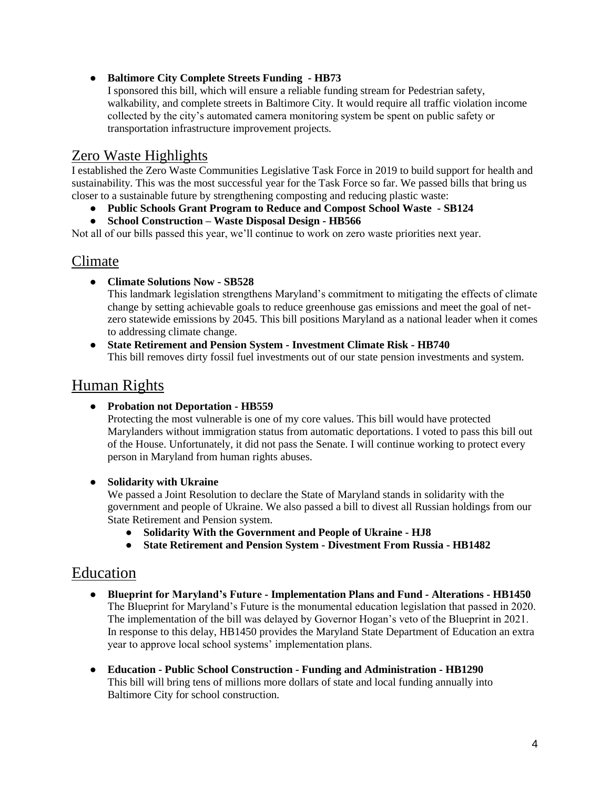#### ● **Baltimore City Complete Streets Funding - HB73**

I sponsored this bill, which will ensure a reliable funding stream for Pedestrian safety, walkability, and complete streets in Baltimore City. It would require all traffic violation income collected by the city's automated camera monitoring system be spent on public safety or transportation infrastructure improvement projects.

## Zero Waste Highlights

I established the Zero Waste Communities Legislative Task Force in 2019 to build support for health and sustainability. This was the most successful year for the Task Force so far. We passed bills that bring us closer to a sustainable future by strengthening composting and reducing plastic waste:

- **Public Schools Grant Program to Reduce and Compost School Waste - SB124**
- **School Construction – Waste Disposal Design - HB566**

Not all of our bills passed this year, we'll continue to work on zero waste priorities next year.

### Climate

● **Climate Solutions Now - SB528**

This landmark legislation strengthens Maryland's commitment to mitigating the effects of climate change by setting achievable goals to reduce greenhouse gas emissions and meet the goal of netzero statewide emissions by 2045. This bill positions Maryland as a national leader when it comes to addressing climate change.

● **State Retirement and Pension System - Investment Climate Risk - HB740** This bill removes dirty fossil fuel investments out of our state pension investments and system.

# Human Rights

● **Probation not Deportation - HB559** 

Protecting the most vulnerable is one of my core values. This bill would have protected Marylanders without immigration status from automatic deportations. I voted to pass this bill out of the House. Unfortunately, it did not pass the Senate. I will continue working to protect every person in Maryland from human rights abuses.

● **Solidarity with Ukraine**

We passed a Joint Resolution to declare the State of Maryland stands in solidarity with the government and people of Ukraine. We also passed a bill to divest all Russian holdings from our State Retirement and Pension system.

- **Solidarity With the Government and People of Ukraine - HJ8**
- **State Retirement and Pension System - Divestment From Russia - HB1482**

### Education

- **Blueprint for Maryland's Future - Implementation Plans and Fund - Alterations - HB1450** The Blueprint for Maryland's Future is the monumental education legislation that passed in 2020. The implementation of the bill was delayed by Governor Hogan's veto of the Blueprint in 2021. In response to this delay, HB1450 provides the Maryland State Department of Education an extra year to approve local school systems' implementation plans.
- **Education - Public School Construction - Funding and Administration - HB1290**  This bill will bring tens of millions more dollars of state and local funding annually into Baltimore City for school construction.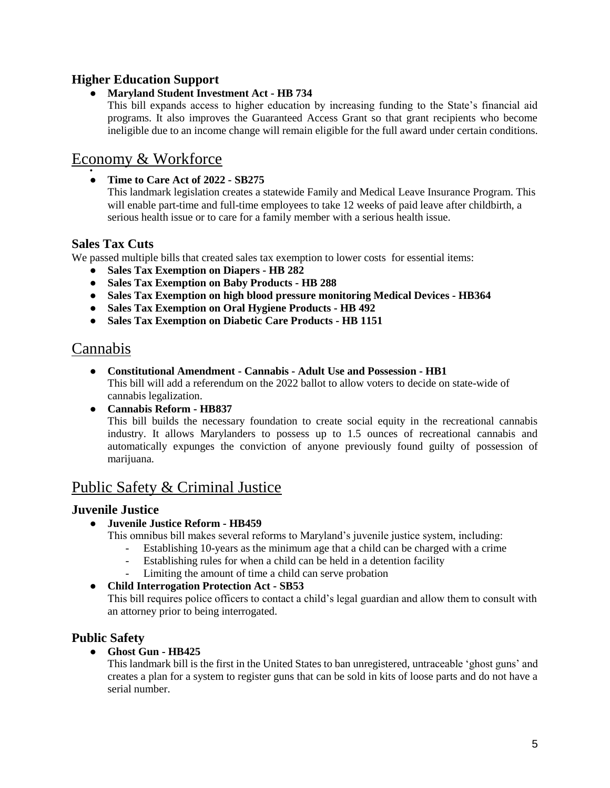### **Higher Education Support**

#### ● **Maryland Student Investment Act - HB 734**

This bill expands access to higher education by increasing funding to the State's financial aid programs. It also improves the Guaranteed Access Grant so that grant recipients who become ineligible due to an income change will remain eligible for the full award under certain conditions.

# Economy & Workforce

#### ● ● **Time to Care Act of 2022 - SB275**

This landmark legislation creates a statewide Family and Medical Leave Insurance Program. This will enable part-time and full-time employees to take 12 weeks of paid leave after childbirth, a serious health issue or to care for a family member with a serious health issue.

### **Sales Tax Cuts**

We passed multiple bills that created sales tax exemption to lower costs for essential items:

- **Sales Tax Exemption on Diapers - HB 282**
- **Sales Tax Exemption on Baby Products - HB 288**
- **Sales Tax Exemption on high blood pressure monitoring Medical Devices - HB364**
- **Sales Tax Exemption on Oral Hygiene Products - HB 492**
- **Sales Tax Exemption on Diabetic Care Products - HB 1151**

# Cannabis

- **Constitutional Amendment - Cannabis - Adult Use and Possession - HB1**  This bill will add a referendum on the 2022 ballot to allow voters to decide on state-wide of cannabis legalization.
- **Cannabis Reform - HB837** This bill builds the necessary foundation to create social equity in the recreational cannabis industry. It allows Marylanders to possess up to 1.5 ounces of recreational cannabis and automatically expunges the conviction of anyone previously found guilty of possession of marijuana.

# Public Safety & Criminal Justice

### **Juvenile Justice**

### ● **Juvenile Justice Reform - HB459**

- This omnibus bill makes several reforms to Maryland's juvenile justice system, including:
	- Establishing 10-years as the minimum age that a child can be charged with a crime
	- Establishing rules for when a child can be held in a detention facility
	- Limiting the amount of time a child can serve probation

#### ● **Child Interrogation Protection Act - SB53**

This bill requires police officers to contact a child's legal guardian and allow them to consult with an attorney prior to being interrogated.

### **Public Safety**

#### ● **Ghost Gun - HB425**

This landmark bill is the first in the United States to ban unregistered, untraceable 'ghost guns' and creates a plan for a system to register guns that can be sold in kits of loose parts and do not have a serial number.